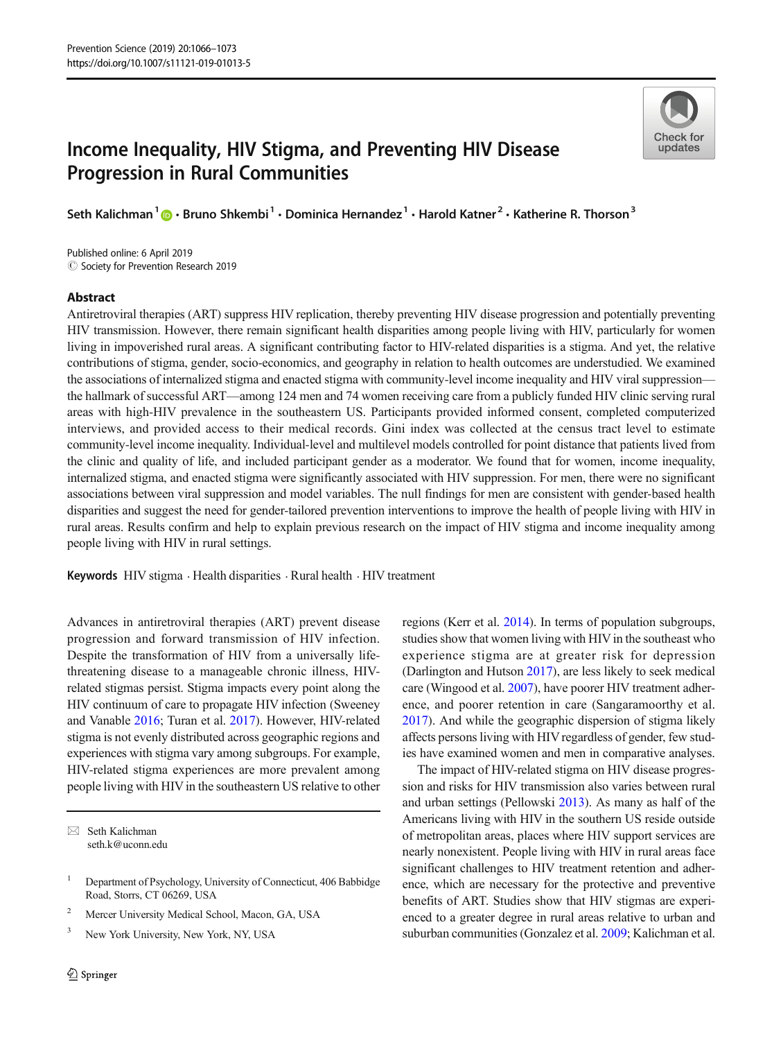# Income Inequality, HIV Stigma, and Preventing HIV Disease Progression in Rural Communities



Seth Kalichman<sup>1</sup>  $\cdot$  Bruno Shkembi<sup>1</sup>  $\cdot$  Dominica Hernandez<sup>1</sup>  $\cdot$  Harold Katner<sup>2</sup>  $\cdot$  Katherine R. Thorson<sup>3</sup>

Published online: 6 April 2019  $\oslash$  Society for Prevention Research 2019

### Abstract

Antiretroviral therapies (ART) suppress HIV replication, thereby preventing HIV disease progression and potentially preventing HIV transmission. However, there remain significant health disparities among people living with HIV, particularly for women living in impoverished rural areas. A significant contributing factor to HIV-related disparities is a stigma. And yet, the relative contributions of stigma, gender, socio-economics, and geography in relation to health outcomes are understudied. We examined the associations of internalized stigma and enacted stigma with community-level income inequality and HIV viral suppression the hallmark of successful ART—among 124 men and 74 women receiving care from a publicly funded HIV clinic serving rural areas with high-HIV prevalence in the southeastern US. Participants provided informed consent, completed computerized interviews, and provided access to their medical records. Gini index was collected at the census tract level to estimate community-level income inequality. Individual-level and multilevel models controlled for point distance that patients lived from the clinic and quality of life, and included participant gender as a moderator. We found that for women, income inequality, internalized stigma, and enacted stigma were significantly associated with HIV suppression. For men, there were no significant associations between viral suppression and model variables. The null findings for men are consistent with gender-based health disparities and suggest the need for gender-tailored prevention interventions to improve the health of people living with HIV in rural areas. Results confirm and help to explain previous research on the impact of HIV stigma and income inequality among people living with HIV in rural settings.

Keywords HIV stigma · Health disparities · Rural health · HIV treatment

Advances in antiretroviral therapies (ART) prevent disease progression and forward transmission of HIV infection. Despite the transformation of HIV from a universally lifethreatening disease to a manageable chronic illness, HIVrelated stigmas persist. Stigma impacts every point along the HIV continuum of care to propagate HIV infection (Sweeney and Vanable [2016;](#page-7-0) Turan et al. [2017](#page-7-0)). However, HIV-related stigma is not evenly distributed across geographic regions and experiences with stigma vary among subgroups. For example, HIV-related stigma experiences are more prevalent among people living with HIV in the southeastern US relative to other

 $\boxtimes$  Seth Kalichman [seth.k@uconn.edu](mailto:seth.k@uconn.edu)

- <sup>2</sup> Mercer University Medical School, Macon, GA, USA
- <sup>3</sup> New York University, New York, NY, USA

regions (Kerr et al. [2014\)](#page-7-0). In terms of population subgroups, studies show that women living with HIV in the southeast who experience stigma are at greater risk for depression (Darlington and Hutson [2017](#page-6-0)), are less likely to seek medical care (Wingood et al. [2007\)](#page-7-0), have poorer HIV treatment adherence, and poorer retention in care (Sangaramoorthy et al. [2017\)](#page-7-0). And while the geographic dispersion of stigma likely affects persons living with HIV regardless of gender, few studies have examined women and men in comparative analyses.

The impact of HIV-related stigma on HIV disease progression and risks for HIV transmission also varies between rural and urban settings (Pellowski [2013\)](#page-7-0). As many as half of the Americans living with HIV in the southern US reside outside of metropolitan areas, places where HIV support services are nearly nonexistent. People living with HIV in rural areas face significant challenges to HIV treatment retention and adherence, which are necessary for the protective and preventive benefits of ART. Studies show that HIV stigmas are experienced to a greater degree in rural areas relative to urban and suburban communities (Gonzalez et al. [2009](#page-7-0); Kalichman et al.

<sup>&</sup>lt;sup>1</sup> Department of Psychology, University of Connecticut, 406 Babbidge Road, Storrs, CT 06269, USA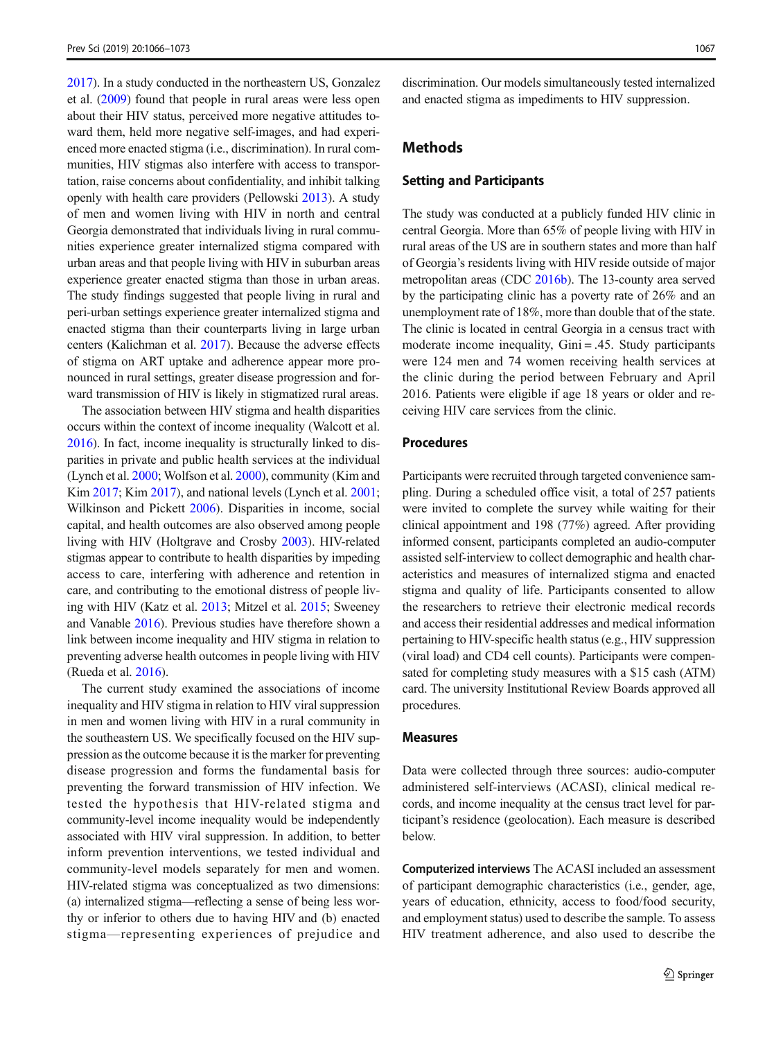[2017\)](#page-7-0). In a study conducted in the northeastern US, Gonzalez et al. ([2009](#page-7-0)) found that people in rural areas were less open about their HIV status, perceived more negative attitudes toward them, held more negative self-images, and had experienced more enacted stigma (i.e., discrimination). In rural communities, HIV stigmas also interfere with access to transportation, raise concerns about confidentiality, and inhibit talking openly with health care providers (Pellowski [2013](#page-7-0)). A study of men and women living with HIV in north and central Georgia demonstrated that individuals living in rural communities experience greater internalized stigma compared with urban areas and that people living with HIV in suburban areas experience greater enacted stigma than those in urban areas. The study findings suggested that people living in rural and peri-urban settings experience greater internalized stigma and enacted stigma than their counterparts living in large urban centers (Kalichman et al. [2017](#page-7-0)). Because the adverse effects of stigma on ART uptake and adherence appear more pronounced in rural settings, greater disease progression and forward transmission of HIV is likely in stigmatized rural areas.

The association between HIV stigma and health disparities occurs within the context of income inequality (Walcott et al. [2016\)](#page-7-0). In fact, income inequality is structurally linked to disparities in private and public health services at the individual (Lynch et al. [2000](#page-7-0); Wolfson et al. [2000\)](#page-7-0), community (Kim and Kim [2017](#page-7-0); Kim [2017](#page-7-0)), and national levels (Lynch et al. [2001](#page-7-0); Wilkinson and Pickett [2006](#page-7-0)). Disparities in income, social capital, and health outcomes are also observed among people living with HIV (Holtgrave and Crosby [2003](#page-7-0)). HIV-related stigmas appear to contribute to health disparities by impeding access to care, interfering with adherence and retention in care, and contributing to the emotional distress of people living with HIV (Katz et al. [2013;](#page-7-0) Mitzel et al. [2015](#page-7-0); Sweeney and Vanable [2016\)](#page-7-0). Previous studies have therefore shown a link between income inequality and HIV stigma in relation to preventing adverse health outcomes in people living with HIV (Rueda et al. [2016\)](#page-7-0).

The current study examined the associations of income inequality and HIV stigma in relation to HIV viral suppression in men and women living with HIV in a rural community in the southeastern US. We specifically focused on the HIV suppression as the outcome because it is the marker for preventing disease progression and forms the fundamental basis for preventing the forward transmission of HIV infection. We tested the hypothesis that HIV-related stigma and community-level income inequality would be independently associated with HIV viral suppression. In addition, to better inform prevention interventions, we tested individual and community-level models separately for men and women. HIV-related stigma was conceptualized as two dimensions: (a) internalized stigma—reflecting a sense of being less worthy or inferior to others due to having HIV and (b) enacted stigma—representing experiences of prejudice and discrimination. Our models simultaneously tested internalized and enacted stigma as impediments to HIV suppression.

# Methods

# Setting and Participants

The study was conducted at a publicly funded HIV clinic in central Georgia. More than 65% of people living with HIV in rural areas of the US are in southern states and more than half of Georgia's residents living with HIV reside outside of major metropolitan areas (CDC [2016b](#page-6-0)). The 13-county area served by the participating clinic has a poverty rate of 26% and an unemployment rate of 18%, more than double that of the state. The clinic is located in central Georgia in a census tract with moderate income inequality, Gini = .45. Study participants were 124 men and 74 women receiving health services at the clinic during the period between February and April 2016. Patients were eligible if age 18 years or older and receiving HIV care services from the clinic.

#### Procedures

Participants were recruited through targeted convenience sampling. During a scheduled office visit, a total of 257 patients were invited to complete the survey while waiting for their clinical appointment and 198 (77%) agreed. After providing informed consent, participants completed an audio-computer assisted self-interview to collect demographic and health characteristics and measures of internalized stigma and enacted stigma and quality of life. Participants consented to allow the researchers to retrieve their electronic medical records and access their residential addresses and medical information pertaining to HIV-specific health status (e.g., HIV suppression (viral load) and CD4 cell counts). Participants were compensated for completing study measures with a \$15 cash (ATM) card. The university Institutional Review Boards approved all procedures.

#### Measures

Data were collected through three sources: audio-computer administered self-interviews (ACASI), clinical medical records, and income inequality at the census tract level for participant's residence (geolocation). Each measure is described below.

Computerized interviews The ACASI included an assessment of participant demographic characteristics (i.e., gender, age, years of education, ethnicity, access to food/food security, and employment status) used to describe the sample. To assess HIV treatment adherence, and also used to describe the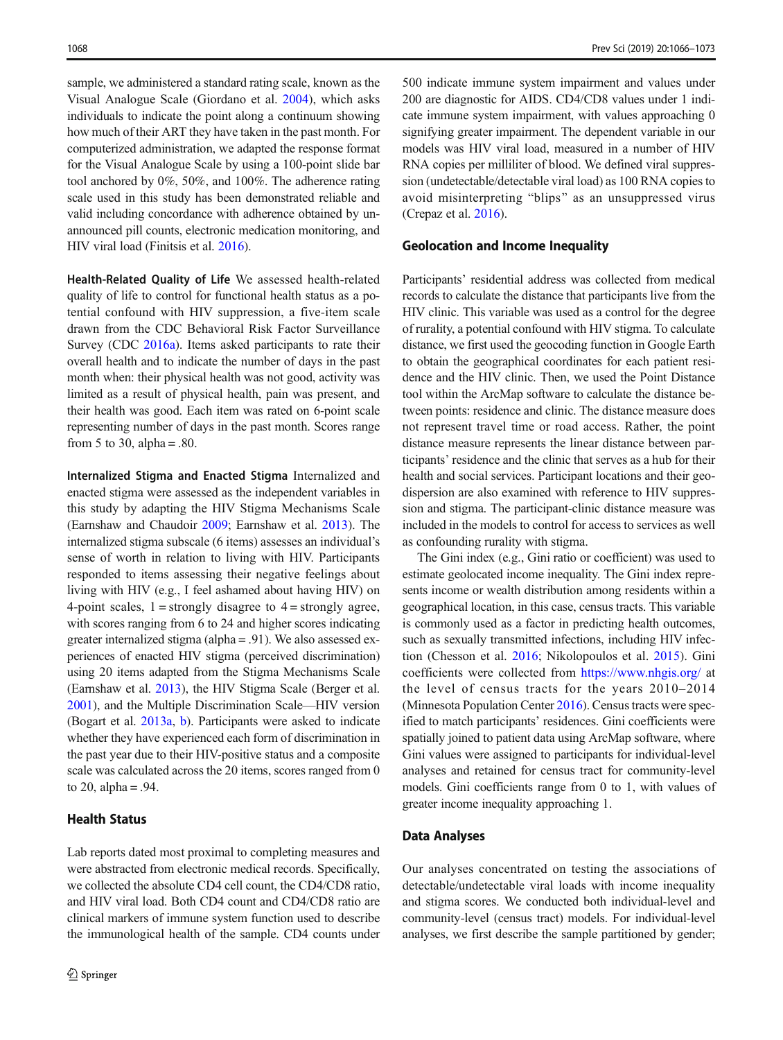sample, we administered a standard rating scale, known as the Visual Analogue Scale (Giordano et al. [2004\)](#page-7-0), which asks individuals to indicate the point along a continuum showing how much of their ART they have taken in the past month. For computerized administration, we adapted the response format for the Visual Analogue Scale by using a 100-point slide bar tool anchored by 0%, 50%, and 100%. The adherence rating scale used in this study has been demonstrated reliable and valid including concordance with adherence obtained by unannounced pill counts, electronic medication monitoring, and HIV viral load (Finitsis et al. [2016\)](#page-6-0).

Health-Related Quality of Life We assessed health-related quality of life to control for functional health status as a potential confound with HIV suppression, a five-item scale drawn from the CDC Behavioral Risk Factor Surveillance Survey (CDC [2016a](#page-6-0)). Items asked participants to rate their overall health and to indicate the number of days in the past month when: their physical health was not good, activity was limited as a result of physical health, pain was present, and their health was good. Each item was rated on 6-point scale representing number of days in the past month. Scores range from 5 to 30, alpha =  $.80$ .

Internalized Stigma and Enacted Stigma Internalized and enacted stigma were assessed as the independent variables in this study by adapting the HIV Stigma Mechanisms Scale (Earnshaw and Chaudoir [2009](#page-6-0); Earnshaw et al. [2013\)](#page-6-0). The internalized stigma subscale (6 items) assesses an individual's sense of worth in relation to living with HIV. Participants responded to items assessing their negative feelings about living with HIV (e.g., I feel ashamed about having HIV) on 4-point scales,  $1 =$  strongly disagree to  $4 =$  strongly agree, with scores ranging from 6 to 24 and higher scores indicating greater internalized stigma (alpha = .91). We also assessed experiences of enacted HIV stigma (perceived discrimination) using 20 items adapted from the Stigma Mechanisms Scale (Earnshaw et al. [2013\)](#page-6-0), the HIV Stigma Scale (Berger et al. [2001\)](#page-6-0), and the Multiple Discrimination Scale—HIV version (Bogart et al. [2013a](#page-6-0), [b\)](#page-6-0). Participants were asked to indicate whether they have experienced each form of discrimination in the past year due to their HIV-positive status and a composite scale was calculated across the 20 items, scores ranged from 0 to 20, alpha  $= .94$ .

# Health Status

Lab reports dated most proximal to completing measures and were abstracted from electronic medical records. Specifically, we collected the absolute CD4 cell count, the CD4/CD8 ratio, and HIV viral load. Both CD4 count and CD4/CD8 ratio are clinical markers of immune system function used to describe the immunological health of the sample. CD4 counts under

500 indicate immune system impairment and values under 200 are diagnostic for AIDS. CD4/CD8 values under 1 indicate immune system impairment, with values approaching 0 signifying greater impairment. The dependent variable in our models was HIV viral load, measured in a number of HIV RNA copies per milliliter of blood. We defined viral suppression (undetectable/detectable viral load) as 100 RNA copies to avoid misinterpreting "blips" as an unsuppressed virus (Crepaz et al. [2016](#page-6-0)).

#### Geolocation and Income Inequality

Participants' residential address was collected from medical records to calculate the distance that participants live from the HIV clinic. This variable was used as a control for the degree of rurality, a potential confound with HIV stigma. To calculate distance, we first used the geocoding function in Google Earth to obtain the geographical coordinates for each patient residence and the HIV clinic. Then, we used the Point Distance tool within the ArcMap software to calculate the distance between points: residence and clinic. The distance measure does not represent travel time or road access. Rather, the point distance measure represents the linear distance between participants' residence and the clinic that serves as a hub for their health and social services. Participant locations and their geodispersion are also examined with reference to HIV suppression and stigma. The participant-clinic distance measure was included in the models to control for access to services as well as confounding rurality with stigma.

The Gini index (e.g., Gini ratio or coefficient) was used to estimate geolocated income inequality. The Gini index represents income or wealth distribution among residents within a geographical location, in this case, census tracts. This variable is commonly used as a factor in predicting health outcomes, such as sexually transmitted infections, including HIV infection (Chesson et al. [2016](#page-6-0); Nikolopoulos et al. [2015](#page-7-0)). Gini coefficients were collected from <https://www.nhgis.org/> at the level of census tracts for the years 2010–2014 (Minnesota Population Center [2016](#page-7-0)). Census tracts were specified to match participants' residences. Gini coefficients were spatially joined to patient data using ArcMap software, where Gini values were assigned to participants for individual-level analyses and retained for census tract for community-level models. Gini coefficients range from 0 to 1, with values of greater income inequality approaching 1.

#### Data Analyses

Our analyses concentrated on testing the associations of detectable/undetectable viral loads with income inequality and stigma scores. We conducted both individual-level and community-level (census tract) models. For individual-level analyses, we first describe the sample partitioned by gender;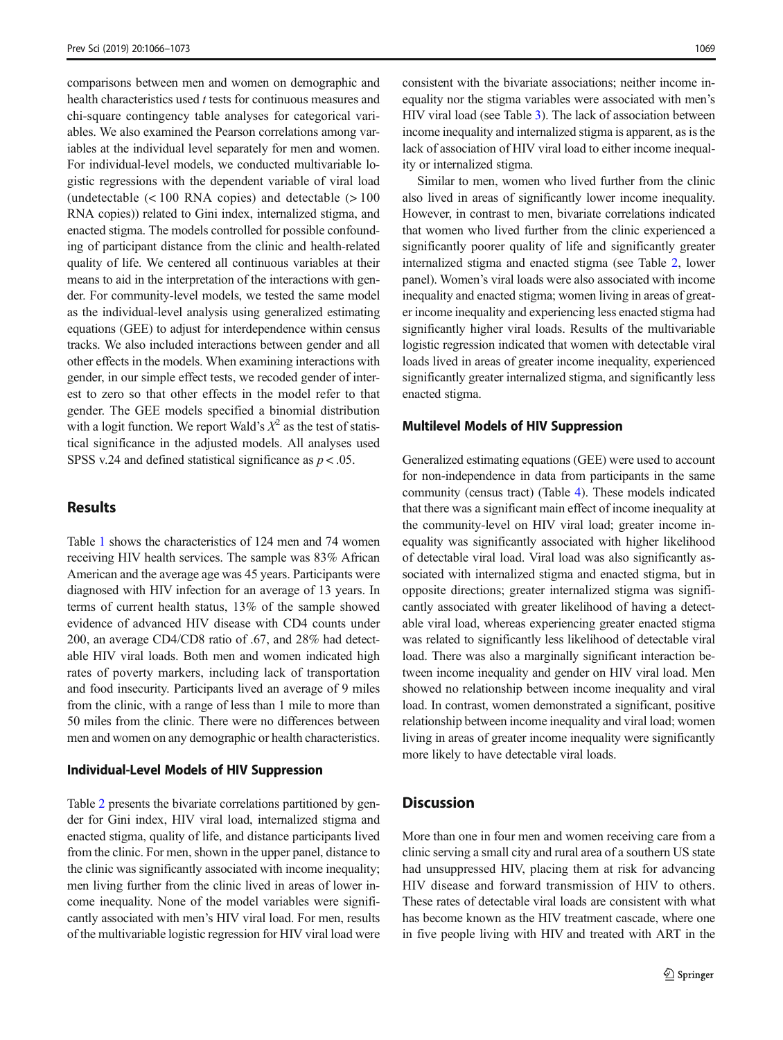comparisons between men and women on demographic and health characteristics used  $t$  tests for continuous measures and chi-square contingency table analyses for categorical variables. We also examined the Pearson correlations among variables at the individual level separately for men and women. For individual-level models, we conducted multivariable logistic regressions with the dependent variable of viral load (undetectable  $(< 100$  RNA copies) and detectable  $(> 100$ RNA copies)) related to Gini index, internalized stigma, and enacted stigma. The models controlled for possible confounding of participant distance from the clinic and health-related quality of life. We centered all continuous variables at their means to aid in the interpretation of the interactions with gender. For community-level models, we tested the same model as the individual-level analysis using generalized estimating equations (GEE) to adjust for interdependence within census tracks. We also included interactions between gender and all other effects in the models. When examining interactions with gender, in our simple effect tests, we recoded gender of interest to zero so that other effects in the model refer to that gender. The GEE models specified a binomial distribution with a logit function. We report Wald's  $X^2$  as the test of statistical significance in the adjusted models. All analyses used SPSS v.24 and defined statistical significance as  $p < .05$ .

# Results

Table [1](#page-4-0) shows the characteristics of 124 men and 74 women receiving HIV health services. The sample was 83% African American and the average age was 45 years. Participants were diagnosed with HIV infection for an average of 13 years. In terms of current health status, 13% of the sample showed evidence of advanced HIV disease with CD4 counts under 200, an average CD4/CD8 ratio of .67, and 28% had detectable HIV viral loads. Both men and women indicated high rates of poverty markers, including lack of transportation and food insecurity. Participants lived an average of 9 miles from the clinic, with a range of less than 1 mile to more than 50 miles from the clinic. There were no differences between men and women on any demographic or health characteristics.

#### Individual-Level Models of HIV Suppression

Table [2](#page-4-0) presents the bivariate correlations partitioned by gender for Gini index, HIV viral load, internalized stigma and enacted stigma, quality of life, and distance participants lived from the clinic. For men, shown in the upper panel, distance to the clinic was significantly associated with income inequality; men living further from the clinic lived in areas of lower income inequality. None of the model variables were significantly associated with men's HIV viral load. For men, results of the multivariable logistic regression for HIV viral load were

consistent with the bivariate associations; neither income inequality nor the stigma variables were associated with men's HIV viral load (see Table [3\)](#page-5-0). The lack of association between income inequality and internalized stigma is apparent, as is the lack of association of HIV viral load to either income inequality or internalized stigma.

Similar to men, women who lived further from the clinic also lived in areas of significantly lower income inequality. However, in contrast to men, bivariate correlations indicated that women who lived further from the clinic experienced a significantly poorer quality of life and significantly greater internalized stigma and enacted stigma (see Table [2,](#page-4-0) lower panel). Women's viral loads were also associated with income inequality and enacted stigma; women living in areas of greater income inequality and experiencing less enacted stigma had significantly higher viral loads. Results of the multivariable logistic regression indicated that women with detectable viral loads lived in areas of greater income inequality, experienced significantly greater internalized stigma, and significantly less enacted stigma.

#### Multilevel Models of HIV Suppression

Generalized estimating equations (GEE) were used to account for non-independence in data from participants in the same community (census tract) (Table [4](#page-5-0)). These models indicated that there was a significant main effect of income inequality at the community-level on HIV viral load; greater income inequality was significantly associated with higher likelihood of detectable viral load. Viral load was also significantly associated with internalized stigma and enacted stigma, but in opposite directions; greater internalized stigma was significantly associated with greater likelihood of having a detectable viral load, whereas experiencing greater enacted stigma was related to significantly less likelihood of detectable viral load. There was also a marginally significant interaction between income inequality and gender on HIV viral load. Men showed no relationship between income inequality and viral load. In contrast, women demonstrated a significant, positive relationship between income inequality and viral load; women living in areas of greater income inequality were significantly more likely to have detectable viral loads.

# **Discussion**

More than one in four men and women receiving care from a clinic serving a small city and rural area of a southern US state had unsuppressed HIV, placing them at risk for advancing HIV disease and forward transmission of HIV to others. These rates of detectable viral loads are consistent with what has become known as the HIV treatment cascade, where one in five people living with HIV and treated with ART in the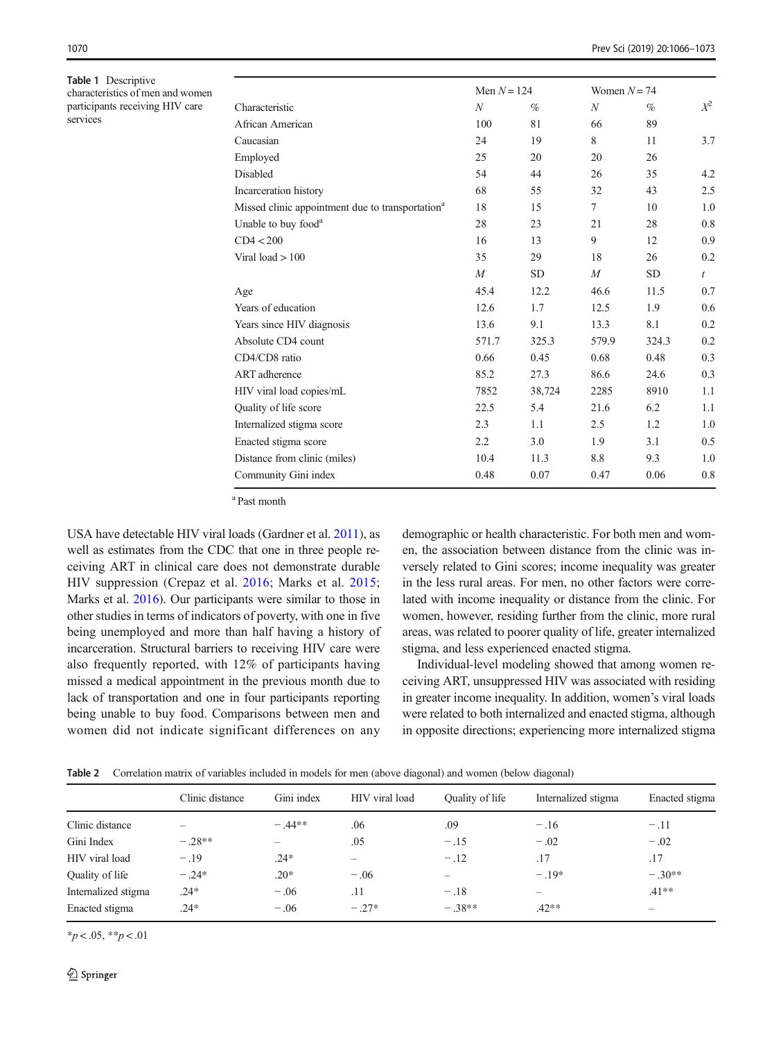<span id="page-4-0"></span>Table 1 Descriptive characteristics of men and women participants receiving HIV care services

|                                                              | Men $N = 124$  |           | Women $N = 74$   |           |                  |
|--------------------------------------------------------------|----------------|-----------|------------------|-----------|------------------|
| Characteristic                                               | N              | $\%$      | $\boldsymbol{N}$ | $\%$      | $X^2$            |
| African American                                             | 100            | 81        | 66               | 89        |                  |
| Caucasian                                                    | 24             | 19        | 8                | 11        | 3.7              |
| Employed                                                     | 25             | 20        | 20               | 26        |                  |
| <b>Disabled</b>                                              | 54             | 44        | 26               | 35        | 4.2              |
| Incarceration history                                        | 68             | 55        | 32               | 43        | 2.5              |
| Missed clinic appointment due to transportation <sup>a</sup> | 18             | 15        | $\tau$           | 10        | 1.0              |
| Unable to buy food <sup>a</sup>                              | 28             | 23        | 21               | 28        | 0.8              |
| CD4 < 200                                                    | 16             | 13        | 9                | 12        | 0.9              |
| Viral load $>100$                                            | 35             | 29        | 18               | 26        | 0.2              |
|                                                              | $\overline{M}$ | <b>SD</b> | $\boldsymbol{M}$ | <b>SD</b> | $\boldsymbol{t}$ |
| Age                                                          | 45.4           | 12.2      | 46.6             | 11.5      | 0.7              |
| Years of education                                           | 12.6           | 1.7       | 12.5             | 1.9       | 0.6              |
| Years since HIV diagnosis                                    | 13.6           | 9.1       | 13.3             | 8.1       | 0.2              |
| Absolute CD4 count                                           | 571.7          | 325.3     | 579.9            | 324.3     | 0.2              |
| CD4/CD8 ratio                                                | 0.66           | 0.45      | 0.68             | 0.48      | 0.3              |
| ART adherence                                                | 85.2           | 27.3      | 86.6             | 24.6      | 0.3              |
| HIV viral load copies/mL                                     | 7852           | 38,724    | 2285             | 8910      | 1.1              |
| Quality of life score                                        | 22.5           | 5.4       | 21.6             | 6.2       | 1.1              |
| Internalized stigma score                                    | 2.3            | 1.1       | 2.5              | 1.2       | 1.0              |
| Enacted stigma score                                         | 2.2            | 3.0       | 1.9              | 3.1       | 0.5              |
| Distance from clinic (miles)                                 | 10.4           | 11.3      | 8.8              | 9.3       | 1.0              |
| Community Gini index                                         | 0.48           | 0.07      | 0.47             | 0.06      | 0.8              |

a Past month

USA have detectable HIV viral loads (Gardner et al. [2011](#page-6-0)), as well as estimates from the CDC that one in three people receiving ART in clinical care does not demonstrate durable HIV suppression (Crepaz et al. [2016](#page-6-0); Marks et al. [2015](#page-7-0); Marks et al. [2016\)](#page-7-0). Our participants were similar to those in other studies in terms of indicators of poverty, with one in five being unemployed and more than half having a history of incarceration. Structural barriers to receiving HIV care were also frequently reported, with 12% of participants having missed a medical appointment in the previous month due to lack of transportation and one in four participants reporting being unable to buy food. Comparisons between men and women did not indicate significant differences on any

demographic or health characteristic. For both men and women, the association between distance from the clinic was inversely related to Gini scores; income inequality was greater in the less rural areas. For men, no other factors were correlated with income inequality or distance from the clinic. For women, however, residing further from the clinic, more rural areas, was related to poorer quality of life, greater internalized stigma, and less experienced enacted stigma.

Individual-level modeling showed that among women receiving ART, unsuppressed HIV was associated with residing in greater income inequality. In addition, women's viral loads were related to both internalized and enacted stigma, although in opposite directions; experiencing more internalized stigma

Table 2 Correlation matrix of variables included in models for men (above diagonal) and women (below diagonal)

|                     | Clinic distance          | Gini index               | HIV viral load | Quality of life | Internalized stigma      | Enacted stigma |
|---------------------|--------------------------|--------------------------|----------------|-----------------|--------------------------|----------------|
| Clinic distance     | $\overline{\phantom{0}}$ | $-44**$                  | .06            | .09             | $-.16$                   | $-.11$         |
| Gini Index          | $-.28**$                 | $\overline{\phantom{0}}$ | .05            | $-.15$          | $-.02$                   | $-.02$         |
| HIV viral load      | $-.19$                   | $.24*$                   |                | $-.12$          | .17                      | .17            |
| Quality of life     | $-.24*$                  | $.20*$                   | $-.06$         |                 | $-.19*$                  | $-.30**$       |
| Internalized stigma | $.24*$                   | $-.06$                   | .11            | $-.18$          | $\overline{\phantom{m}}$ | $.41**$        |
| Enacted stigma      | $.24*$                   | $-.06$                   | $-.27*$        | $-.38**$        | $.42**$                  |                |

 $*_{p} < .05, **_{p} < .01$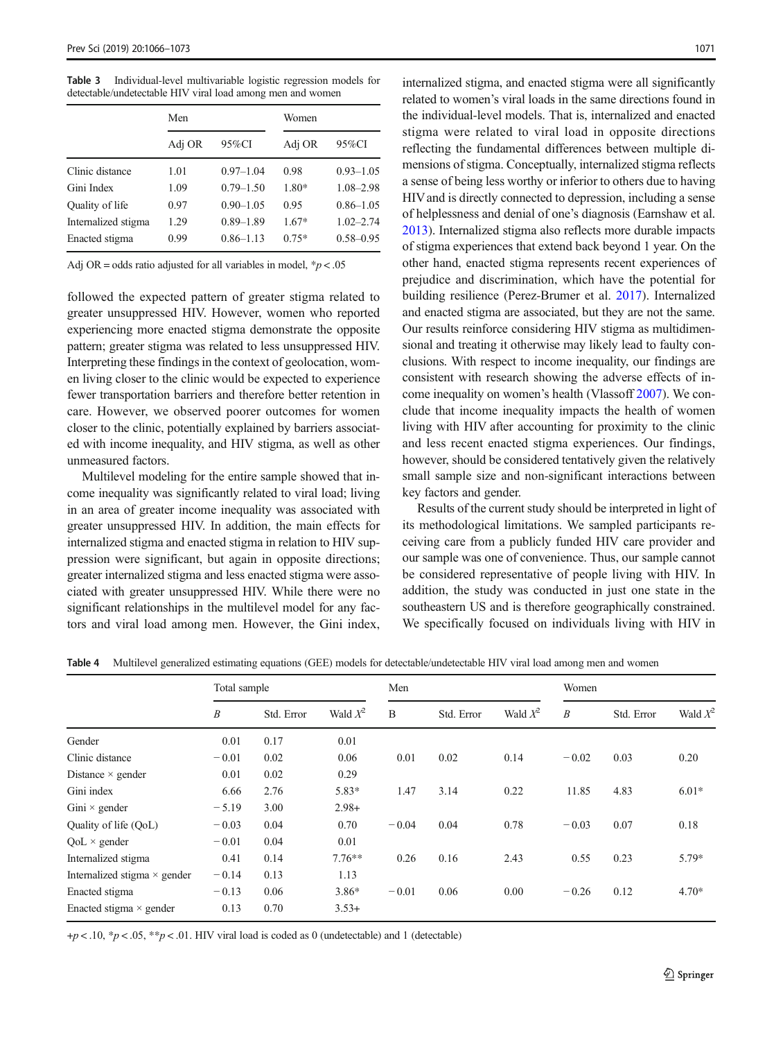<span id="page-5-0"></span>Table 3 Individual-level multivariable logistic regression models for detectable/undetectable HIV viral load among men and women

|                     | Men    |               | Women   |               |  |  |
|---------------------|--------|---------------|---------|---------------|--|--|
|                     | Adj OR | 95%CI         | Adj OR  | 95%CI         |  |  |
| Clinic distance     | 1.01   | $0.97 - 1.04$ | 0.98    | $0.93 - 1.05$ |  |  |
| Gini Index          | 1.09   | $0.79 - 1.50$ | 1.80*   | 1.08-2.98     |  |  |
| Quality of life     | 0.97   | $0.90 - 1.05$ | 0.95    | $0.86 - 1.05$ |  |  |
| Internalized stigma | 1.29   | $0.89 - 1.89$ | $1.67*$ | $1.02 - 2.74$ |  |  |
| Enacted stigma      | 0.99   | $0.86 - 1.13$ | $0.75*$ | $0.58 - 0.95$ |  |  |

Adj OR = odds ratio adjusted for all variables in model,  $p < .05$ 

followed the expected pattern of greater stigma related to greater unsuppressed HIV. However, women who reported experiencing more enacted stigma demonstrate the opposite pattern; greater stigma was related to less unsuppressed HIV. Interpreting these findings in the context of geolocation, women living closer to the clinic would be expected to experience fewer transportation barriers and therefore better retention in care. However, we observed poorer outcomes for women closer to the clinic, potentially explained by barriers associated with income inequality, and HIV stigma, as well as other unmeasured factors.

Multilevel modeling for the entire sample showed that income inequality was significantly related to viral load; living in an area of greater income inequality was associated with greater unsuppressed HIV. In addition, the main effects for internalized stigma and enacted stigma in relation to HIV suppression were significant, but again in opposite directions; greater internalized stigma and less enacted stigma were associated with greater unsuppressed HIV. While there were no significant relationships in the multilevel model for any factors and viral load among men. However, the Gini index,

internalized stigma, and enacted stigma were all significantly related to women's viral loads in the same directions found in the individual-level models. That is, internalized and enacted stigma were related to viral load in opposite directions reflecting the fundamental differences between multiple dimensions of stigma. Conceptually, internalized stigma reflects a sense of being less worthy or inferior to others due to having HIVand is directly connected to depression, including a sense of helplessness and denial of one's diagnosis (Earnshaw et al. [2013\)](#page-6-0). Internalized stigma also reflects more durable impacts of stigma experiences that extend back beyond 1 year. On the other hand, enacted stigma represents recent experiences of prejudice and discrimination, which have the potential for building resilience (Perez-Brumer et al. [2017](#page-7-0)). Internalized and enacted stigma are associated, but they are not the same. Our results reinforce considering HIV stigma as multidimensional and treating it otherwise may likely lead to faulty conclusions. With respect to income inequality, our findings are consistent with research showing the adverse effects of income inequality on women's health (Vlassoff [2007\)](#page-7-0). We conclude that income inequality impacts the health of women living with HIV after accounting for proximity to the clinic and less recent enacted stigma experiences. Our findings, however, should be considered tentatively given the relatively small sample size and non-significant interactions between key factors and gender.

Results of the current study should be interpreted in light of its methodological limitations. We sampled participants receiving care from a publicly funded HIV care provider and our sample was one of convenience. Thus, our sample cannot be considered representative of people living with HIV. In addition, the study was conducted in just one state in the southeastern US and is therefore geographically constrained. We specifically focused on individuals living with HIV in

|                                     | Total sample     |            |            | Men     |            |            | Women            |            |            |
|-------------------------------------|------------------|------------|------------|---------|------------|------------|------------------|------------|------------|
|                                     | $\boldsymbol{B}$ | Std. Error | Wald $X^2$ | B       | Std. Error | Wald $X^2$ | $\boldsymbol{B}$ | Std. Error | Wald $X^2$ |
| Gender                              | 0.01             | 0.17       | 0.01       |         |            |            |                  |            |            |
| Clinic distance                     | $-0.01$          | 0.02       | 0.06       | 0.01    | 0.02       | 0.14       | $-0.02$          | 0.03       | 0.20       |
| Distance $\times$ gender            | 0.01             | 0.02       | 0.29       |         |            |            |                  |            |            |
| Gini index                          | 6.66             | 2.76       | 5.83*      | 1.47    | 3.14       | 0.22       | 11.85            | 4.83       | $6.01*$    |
| Gini $\times$ gender                | $-5.19$          | 3.00       | $2.98+$    |         |            |            |                  |            |            |
| Quality of life (QoL)               | $-0.03$          | 0.04       | 0.70       | $-0.04$ | 0.04       | 0.78       | $-0.03$          | 0.07       | 0.18       |
| $QoL \times gender$                 | $-0.01$          | 0.04       | 0.01       |         |            |            |                  |            |            |
| Internalized stigma                 | 0.41             | 0.14       | $7.76***$  | 0.26    | 0.16       | 2.43       | 0.55             | 0.23       | 5.79*      |
| Internalized stigma $\times$ gender | $-0.14$          | 0.13       | 1.13       |         |            |            |                  |            |            |
| Enacted stigma                      | $-0.13$          | 0.06       | $3.86*$    | $-0.01$ | 0.06       | 0.00       | $-0.26$          | 0.12       | $4.70*$    |
| Enacted stigma $\times$ gender      | 0.13             | 0.70       | $3.53+$    |         |            |            |                  |            |            |

Table 4 Multilevel generalized estimating equations (GEE) models for detectable/undetectable HIV viral load among men and women

 $+p < 0.10$ , \* $p < 0.05$ , \*\* $p < 0.01$ . HIV viral load is coded as 0 (undetectable) and 1 (detectable)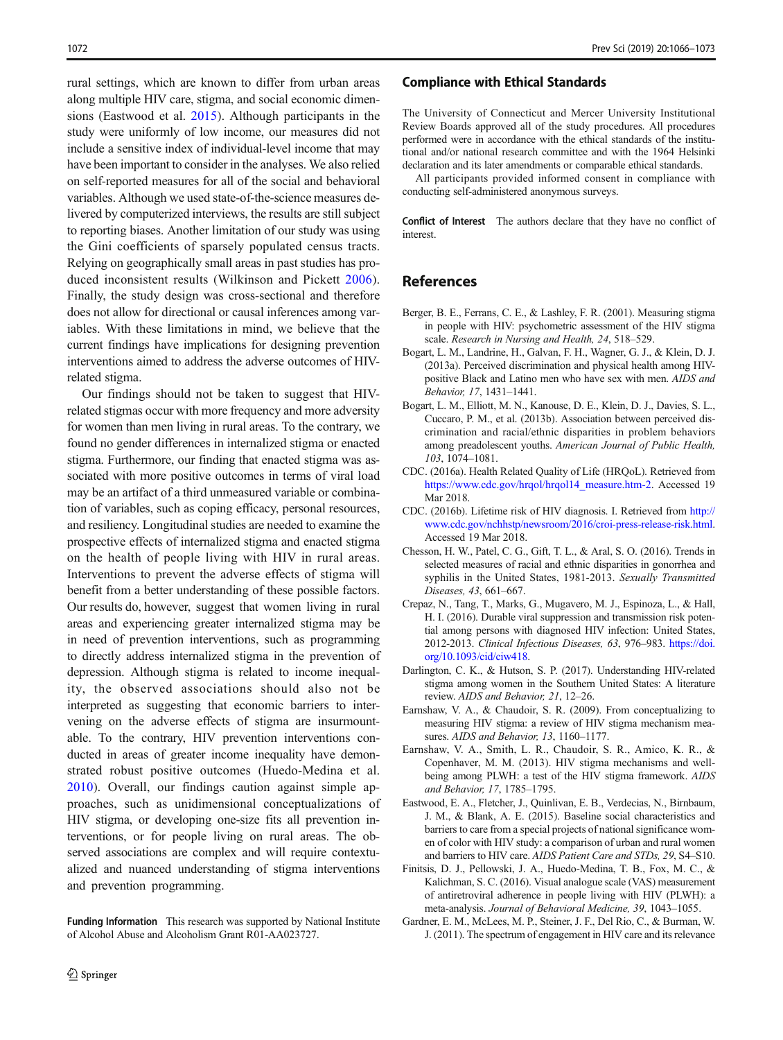<span id="page-6-0"></span>rural settings, which are known to differ from urban areas along multiple HIV care, stigma, and social economic dimensions (Eastwood et al. 2015). Although participants in the study were uniformly of low income, our measures did not include a sensitive index of individual-level income that may have been important to consider in the analyses. We also relied on self-reported measures for all of the social and behavioral variables. Although we used state-of-the-science measures delivered by computerized interviews, the results are still subject to reporting biases. Another limitation of our study was using the Gini coefficients of sparsely populated census tracts. Relying on geographically small areas in past studies has produced inconsistent results (Wilkinson and Pickett [2006](#page-7-0)). Finally, the study design was cross-sectional and therefore does not allow for directional or causal inferences among variables. With these limitations in mind, we believe that the current findings have implications for designing prevention interventions aimed to address the adverse outcomes of HIVrelated stigma.

Our findings should not be taken to suggest that HIVrelated stigmas occur with more frequency and more adversity for women than men living in rural areas. To the contrary, we found no gender differences in internalized stigma or enacted stigma. Furthermore, our finding that enacted stigma was associated with more positive outcomes in terms of viral load may be an artifact of a third unmeasured variable or combination of variables, such as coping efficacy, personal resources, and resiliency. Longitudinal studies are needed to examine the prospective effects of internalized stigma and enacted stigma on the health of people living with HIV in rural areas. Interventions to prevent the adverse effects of stigma will benefit from a better understanding of these possible factors. Our results do, however, suggest that women living in rural areas and experiencing greater internalized stigma may be in need of prevention interventions, such as programming to directly address internalized stigma in the prevention of depression. Although stigma is related to income inequality, the observed associations should also not be interpreted as suggesting that economic barriers to intervening on the adverse effects of stigma are insurmountable. To the contrary, HIV prevention interventions conducted in areas of greater income inequality have demonstrated robust positive outcomes (Huedo-Medina et al. [2010\)](#page-7-0). Overall, our findings caution against simple approaches, such as unidimensional conceptualizations of HIV stigma, or developing one-size fits all prevention interventions, or for people living on rural areas. The observed associations are complex and will require contextualized and nuanced understanding of stigma interventions and prevention programming.

Funding Information This research was supported by National Institute of Alcohol Abuse and Alcoholism Grant R01-AA023727.

#### Compliance with Ethical Standards

The University of Connecticut and Mercer University Institutional Review Boards approved all of the study procedures. All procedures performed were in accordance with the ethical standards of the institutional and/or national research committee and with the 1964 Helsinki declaration and its later amendments or comparable ethical standards.

All participants provided informed consent in compliance with conducting self-administered anonymous surveys.

Conflict of Interest The authors declare that they have no conflict of interest.

# References

- Berger, B. E., Ferrans, C. E., & Lashley, F. R. (2001). Measuring stigma in people with HIV: psychometric assessment of the HIV stigma scale. Research in Nursing and Health, 24, 518–529.
- Bogart, L. M., Landrine, H., Galvan, F. H., Wagner, G. J., & Klein, D. J. (2013a). Perceived discrimination and physical health among HIVpositive Black and Latino men who have sex with men. AIDS and Behavior, 17, 1431–1441.
- Bogart, L. M., Elliott, M. N., Kanouse, D. E., Klein, D. J., Davies, S. L., Cuccaro, P. M., et al. (2013b). Association between perceived discrimination and racial/ethnic disparities in problem behaviors among preadolescent youths. American Journal of Public Health, 103, 1074–1081.
- CDC. (2016a). Health Related Quality of Life (HRQoL). Retrieved from [https://www.cdc.gov/hrqol/hrqol14\\_measure.htm-2](https://www.cdc.gov/hrqol/hrqol14_measure.htm-2). Accessed 19 Mar 2018.
- CDC. (2016b). Lifetime risk of HIV diagnosis. I. Retrieved from [http://](http://www.cdc.gov/nchhstp/newsroom/2016/croi-press-release-risk.html) [www.cdc.gov/nchhstp/newsroom/2016/croi-press-release-risk.html](http://www.cdc.gov/nchhstp/newsroom/2016/croi-press-release-risk.html). Accessed 19 Mar 2018.
- Chesson, H. W., Patel, C. G., Gift, T. L., & Aral, S. O. (2016). Trends in selected measures of racial and ethnic disparities in gonorrhea and syphilis in the United States, 1981-2013. Sexually Transmitted Diseases, 43, 661–667.
- Crepaz, N., Tang, T., Marks, G., Mugavero, M. J., Espinoza, L., & Hall, H. I. (2016). Durable viral suppression and transmission risk potential among persons with diagnosed HIV infection: United States, 2012-2013. Clinical Infectious Diseases, 63, 976–983. [https://doi.](https://doi.org/10.1093/cid/ciw418) [org/10.1093/cid/ciw418](https://doi.org/10.1093/cid/ciw418).
- Darlington, C. K., & Hutson, S. P. (2017). Understanding HIV-related stigma among women in the Southern United States: A literature review. AIDS and Behavior, 21, 12–26.
- Earnshaw, V. A., & Chaudoir, S. R. (2009). From conceptualizing to measuring HIV stigma: a review of HIV stigma mechanism measures. AIDS and Behavior, 13, 1160-1177.
- Earnshaw, V. A., Smith, L. R., Chaudoir, S. R., Amico, K. R., & Copenhaver, M. M. (2013). HIV stigma mechanisms and wellbeing among PLWH: a test of the HIV stigma framework. AIDS and Behavior, 17, 1785–1795.
- Eastwood, E. A., Fletcher, J., Quinlivan, E. B., Verdecias, N., Birnbaum, J. M., & Blank, A. E. (2015). Baseline social characteristics and barriers to care from a special projects of national significance women of color with HIV study: a comparison of urban and rural women and barriers to HIV care. AIDS Patient Care and STDs, 29, S4–S10.
- Finitsis, D. J., Pellowski, J. A., Huedo-Medina, T. B., Fox, M. C., & Kalichman, S. C. (2016). Visual analogue scale (VAS) measurement of antiretroviral adherence in people living with HIV (PLWH): a meta-analysis. Journal of Behavioral Medicine, 39, 1043–1055.
- Gardner, E. M., McLees, M. P., Steiner, J. F., Del Rio, C., & Burman, W. J. (2011). The spectrum of engagement in HIV care and its relevance